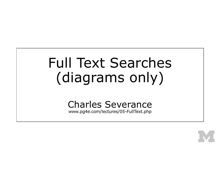# Full Text Searches (diagrams only)

## Charles Severance

www.pg4e.com/lectures/05-FullText.php

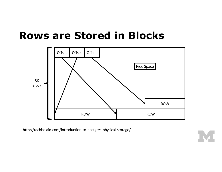### **Rows are Stored in Blocks**



http://rachbelaid.com/introduction-to-postgres-physical-storage/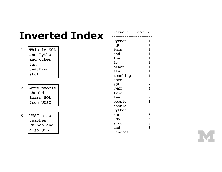# **Inverted Index**

| 1 | This is SQL |
|---|-------------|
|   | and Python  |
|   | and other   |
|   | fun         |
|   | teaching    |
|   | stuff       |

- More people should learn SQL from UMSI 2
- 3

| UMSI also  |  |  |  |  |  |
|------------|--|--|--|--|--|
| teaches    |  |  |  |  |  |
| Python and |  |  |  |  |  |
| also SOL   |  |  |  |  |  |

| keyword     | doc id         |
|-------------|----------------|
| Python      | 1              |
| SQL         | 1              |
| This        | $\overline{1}$ |
| and         | $\mathbf{1}$   |
| fun         | $\overline{1}$ |
| is          | 1              |
| other       | $\overline{1}$ |
| stuff       | 1              |
| teaching    | $\overline{1}$ |
| More        | $\overline{2}$ |
| SQL         | $\overline{c}$ |
| <b>UMSI</b> | $\overline{2}$ |
| from        | $\overline{c}$ |
| learn       | $\overline{2}$ |
| people      | $\overline{2}$ |
| should      | $\overline{2}$ |
| Python      | 3              |
| SQL         | 3              |
| UMSI        | 3              |
| also        | $\frac{3}{3}$  |
| and         |                |
| teaches     | 3              |

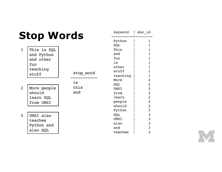|                | <b>Stop Words</b>                                                  | keyword           | doc_id                                                               |                                                                |
|----------------|--------------------------------------------------------------------|-------------------|----------------------------------------------------------------------|----------------------------------------------------------------|
| $\mathbf{1}$   | This is SQL<br>and Python<br>and other<br>fun<br>teaching<br>stuff | stop word         | Python<br>SQL<br>This<br>and<br>fun<br>is<br>other<br>stuff          | 1<br>1<br>1<br>1<br>1<br>1                                     |
| $\overline{2}$ | More people<br>should<br>learn SQL<br>from UMSI                    | is<br>this<br>and | teaching<br>More<br>SQL<br>UMSI<br>from<br>learn<br>people<br>should | 1<br>2<br>2<br>2<br>$\overline{2}$<br>2<br>$\overline{2}$<br>2 |
| $\overline{3}$ | UMSI also<br>teaches<br>Python and<br>also SQL                     |                   | Python<br>SQL<br><b>UMSI</b><br>also<br>and<br>teaches               | 3<br>3<br>3<br>3<br>3<br>3                                     |